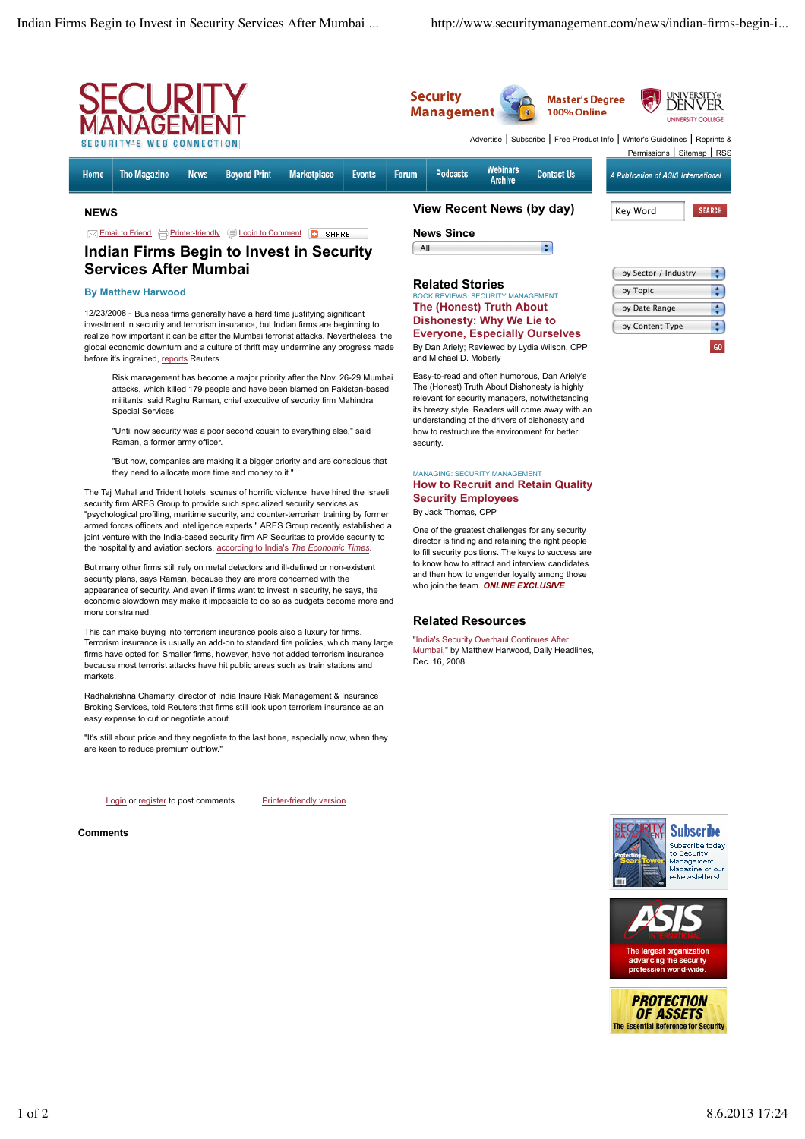

## **Related Stories**

## .<br>V MANAGEMENT **The (Honest) Truth About Dishonesty: Why We Lie to Everyone, Especially Ourselves**

By Dan Ariely; Reviewed by Lydia Wilson, CPP and Michael D. Moberly

Easy-to-read and often humorous, Dan Ariely's The (Honest) Truth About Dishonesty is highly relevant for security managers, notwithstanding its breezy style. Readers will come away with an understanding of the drivers of dishonesty and how to restructure the environment for better security.

## MANAGING: SECURITY MANAGEMENT **How to Recruit and Retain Quality Security Employees**

By Jack Thomas, CPP

One of the greatest challenges for any security director is finding and retaining the right people to fill security positions. The keys to success are to know how to attract and interview candidates and then how to engender loyalty among those who join the team. *ONLINE EXCLUSIVE*

## **Related Resources**

"India's Security Overhaul Continues After Mumbai," by Matthew Harwood, Daily Headlines, Dec. 16, 2008

by Sector / Industry ÷ by Topic ÷  $\frac{1}{\tau}$ by Date Range by Content Type  $\left| \cdot \right|$  $60<sub>1</sub>$ 

before it's ingrained, reports Reuters. Risk management has become a major priority after the Nov. 26-29 Mumbai attacks, which killed 179 people and have been blamed on Pakistan-based militants, said Raghu Raman, chief executive of security firm Mahindra Special Services

12/23/2008 - Business firms generally have a hard time justifying significant

investment in security and terrorism insurance, but Indian firms are beginning to realize how important it can be after the Mumbai terrorist attacks. Nevertheless, the global economic downturn and a culture of thrift may undermine any progress made

**By Matthew Harwood**

"Until now security was a poor second cousin to everything else," said Raman, a former army officer.

"But now, companies are making it a bigger priority and are conscious that they need to allocate more time and money to it."

The Taj Mahal and Trident hotels, scenes of horrific violence, have hired the Israeli security firm ARES Group to provide such specialized security services as "psychological profiling, maritime security, and counter-terrorism training by former armed forces officers and intelligence experts." ARES Group recently established a joint venture with the India-based security firm AP Securitas to provide security to the hospitality and aviation sectors, according to India's *The Economic Times*.

But many other firms still rely on metal detectors and ill-defined or non-existent security plans, says Raman, because they are more concerned with the appearance of security. And even if firms want to invest in security, he says, the economic slowdown may make it impossible to do so as budgets become more and more constrained.

This can make buying into terrorism insurance pools also a luxury for firms. Terrorism insurance is usually an add-on to standard fire policies, which many large firms have opted for. Smaller firms, however, have not added terrorism insurance because most terrorist attacks have hit public areas such as train stations and markets.

Radhakrishna Chamarty, director of India Insure Risk Management & Insurance Broking Services, told Reuters that firms still look upon terrorism insurance as an easy expense to cut or negotiate about.

"It's still about price and they negotiate to the last bone, especially now, when they are keen to reduce premium outflow."

Login or register to post comments Printer-friendly version

**Comments**